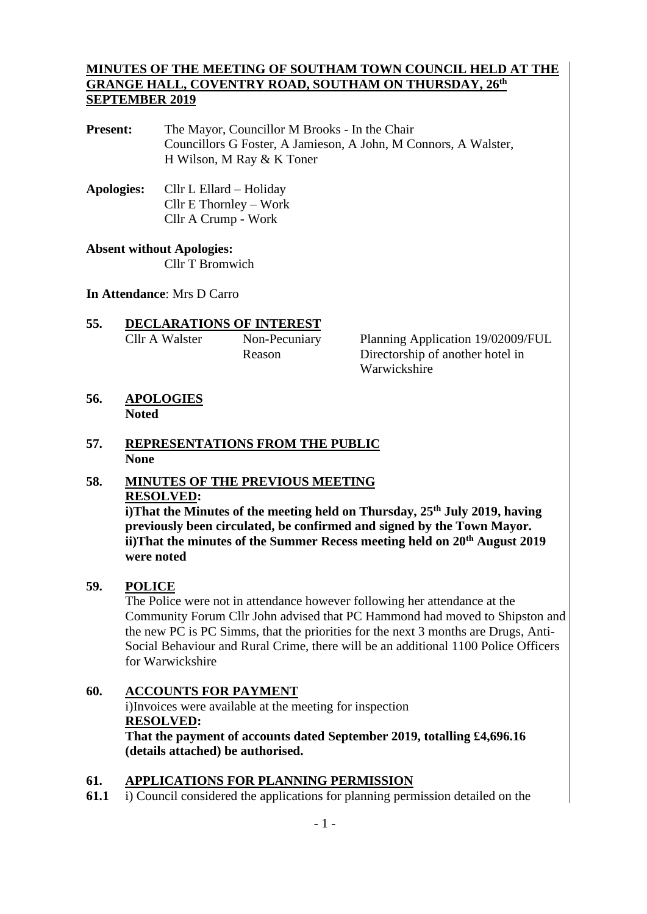### **MINUTES OF THE MEETING OF SOUTHAM TOWN COUNCIL HELD AT THE GRANGE HALL, COVENTRY ROAD, SOUTHAM ON THURSDAY, 26 th SEPTEMBER 2019**

**Present:** The Mayor, Councillor M Brooks - In the Chair Councillors G Foster, A Jamieson, A John, M Connors, A Walster, H Wilson, M Ray & K Toner

**Apologies:** Cllr L Ellard – Holiday Cllr E Thornley – Work Cllr A Crump - Work

## **Absent without Apologies:**

Cllr T Bromwich

#### **In Attendance**: Mrs D Carro

**55. DECLARATIONS OF INTEREST** Cllr A Walster Non-Pecuniary Planning Application 19/02009/FUL

Reason Directorship of another hotel in Warwickshire

**56. APOLOGIES Noted**

#### **57. REPRESENTATIONS FROM THE PUBLIC None**

# **58. MINUTES OF THE PREVIOUS MEETING RESOLVED:**

**i)That the Minutes of the meeting held on Thursday, 25 th July 2019, having previously been circulated, be confirmed and signed by the Town Mayor. ii)That the minutes of the Summer Recess meeting held on 20th August 2019 were noted**

## **59. POLICE**

The Police were not in attendance however following her attendance at the Community Forum Cllr John advised that PC Hammond had moved to Shipston and the new PC is PC Simms, that the priorities for the next 3 months are Drugs, Anti-Social Behaviour and Rural Crime, there will be an additional 1100 Police Officers for Warwickshire

# **60. ACCOUNTS FOR PAYMENT**

i)Invoices were available at the meeting for inspection **RESOLVED:**

**That the payment of accounts dated September 2019, totalling £4,696.16 (details attached) be authorised.**

# **61. APPLICATIONS FOR PLANNING PERMISSION**

**61.1** i) Council considered the applications for planning permission detailed on the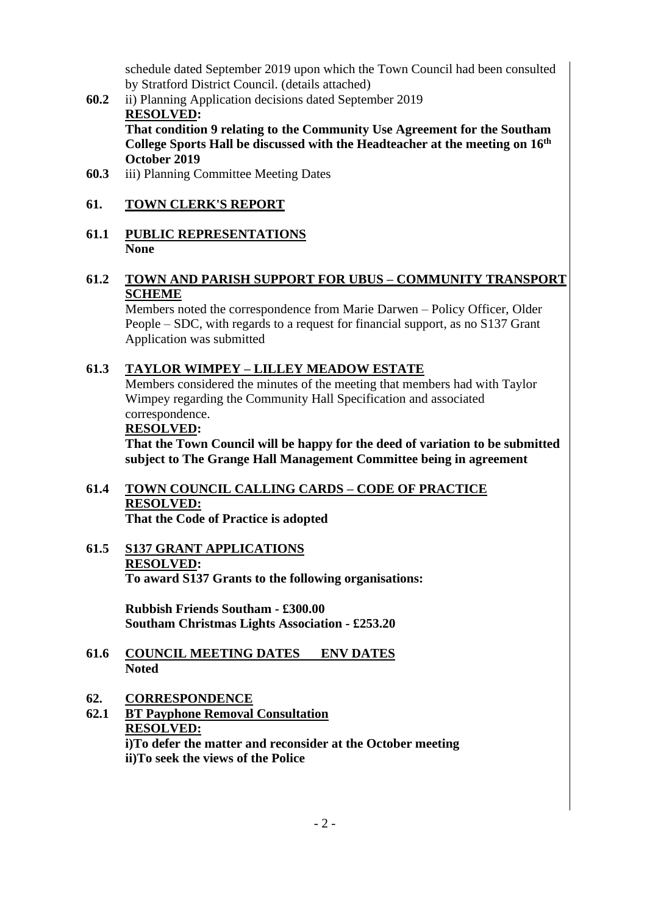schedule dated September 2019 upon which the Town Council had been consulted by Stratford District Council. (details attached)

**60.2** ii) Planning Application decisions dated September 2019 **RESOLVED: That condition 9 relating to the Community Use Agreement for the Southam** 

**College Sports Hall be discussed with the Headteacher at the meeting on 16th October 2019**

**60.3** iii) Planning Committee Meeting Dates

# **61. TOWN CLERK'S REPORT**

**61.1 PUBLIC REPRESENTATIONS None**

## **61.2 TOWN AND PARISH SUPPORT FOR UBUS – COMMUNITY TRANSPORT SCHEME**

Members noted the correspondence from Marie Darwen – Policy Officer, Older People – SDC, with regards to a request for financial support, as no S137 Grant Application was submitted

## **61.3 TAYLOR WIMPEY – LILLEY MEADOW ESTATE**

Members considered the minutes of the meeting that members had with Taylor Wimpey regarding the Community Hall Specification and associated correspondence.

### **RESOLVED:**

**That the Town Council will be happy for the deed of variation to be submitted subject to The Grange Hall Management Committee being in agreement**

# **61.4 TOWN COUNCIL CALLING CARDS – CODE OF PRACTICE RESOLVED:**

**That the Code of Practice is adopted**

#### **61.5 S137 GRANT APPLICATIONS RESOLVED: To award S137 Grants to the following organisations:**

**Rubbish Friends Southam - £300.00 Southam Christmas Lights Association - £253.20**

**61.6 COUNCIL MEETING DATES ENV DATES Noted**

## **62. CORRESPONDENCE**

**62.1 BT Payphone Removal Consultation RESOLVED: i)To defer the matter and reconsider at the October meeting**

**ii)To seek the views of the Police**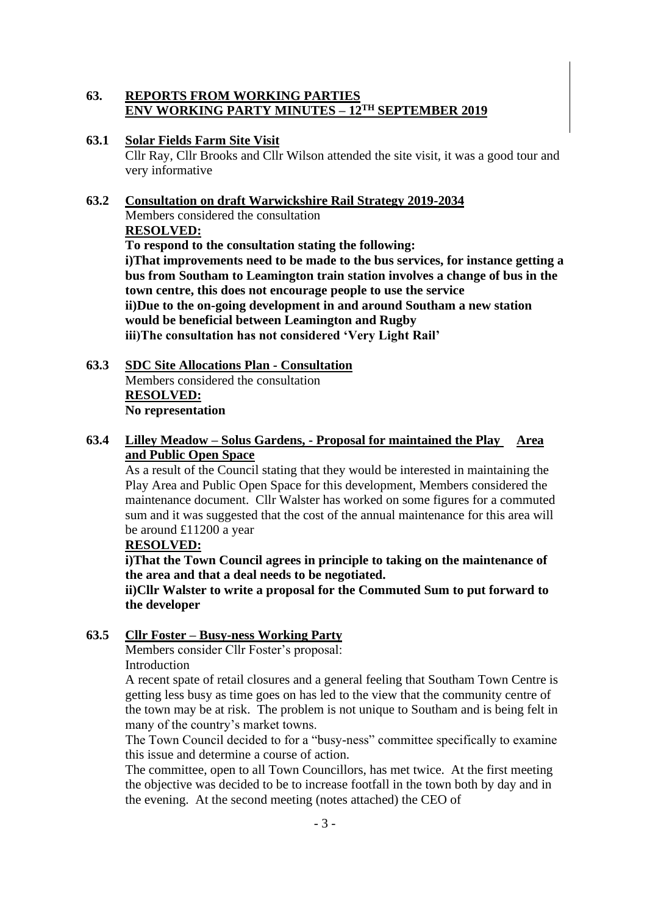## **63. REPORTS FROM WORKING PARTIES ENV WORKING PARTY MINUTES – 12 TH SEPTEMBER 2019**

### **63.1 Solar Fields Farm Site Visit**

Cllr Ray, Cllr Brooks and Cllr Wilson attended the site visit, it was a good tour and very informative

## **63.2 Consultation on draft Warwickshire Rail Strategy 2019-2034**

Members considered the consultation **RESOLVED:**

**To respond to the consultation stating the following:**

**i)That improvements need to be made to the bus services, for instance getting a bus from Southam to Leamington train station involves a change of bus in the town centre, this does not encourage people to use the service ii)Due to the on-going development in and around Southam a new station would be beneficial between Leamington and Rugby iii)The consultation has not considered 'Very Light Rail'**

**63.3 SDC Site Allocations Plan - Consultation** Members considered the consultation **RESOLVED: No representation**

# **63.4 Lilley Meadow – Solus Gardens, - Proposal for maintained the Play Area and Public Open Space**

As a result of the Council stating that they would be interested in maintaining the Play Area and Public Open Space for this development, Members considered the maintenance document. Cllr Walster has worked on some figures for a commuted sum and it was suggested that the cost of the annual maintenance for this area will be around £11200 a year

## **RESOLVED:**

**i)That the Town Council agrees in principle to taking on the maintenance of the area and that a deal needs to be negotiated.**

**ii)Cllr Walster to write a proposal for the Commuted Sum to put forward to the developer**

# **63.5 Cllr Foster – Busy-ness Working Party**

Members consider Cllr Foster's proposal: Introduction

A recent spate of retail closures and a general feeling that Southam Town Centre is getting less busy as time goes on has led to the view that the community centre of the town may be at risk. The problem is not unique to Southam and is being felt in many of the country's market towns.

The Town Council decided to for a "busy-ness" committee specifically to examine this issue and determine a course of action.

The committee, open to all Town Councillors, has met twice. At the first meeting the objective was decided to be to increase footfall in the town both by day and in the evening. At the second meeting (notes attached) the CEO of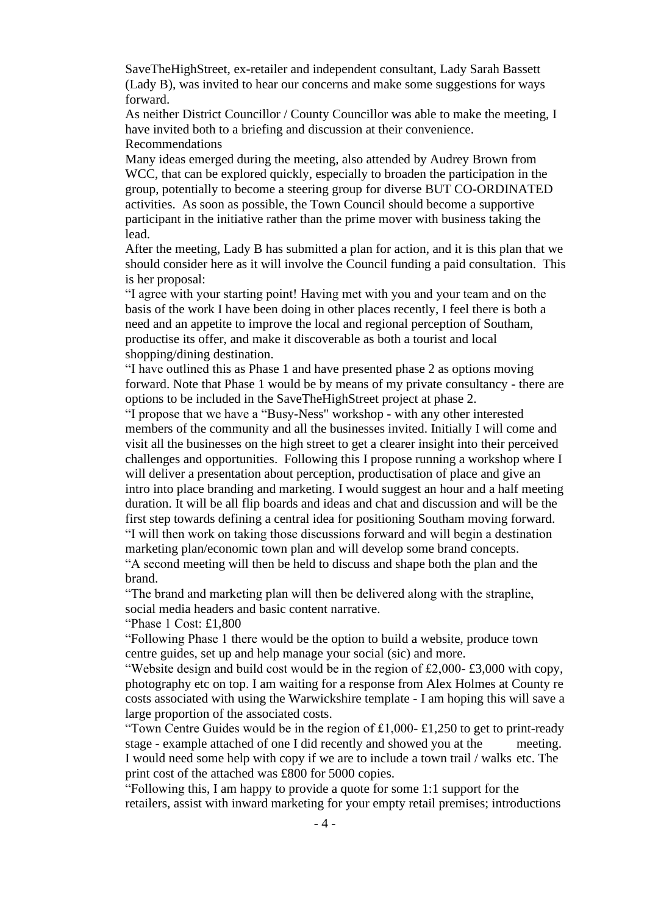SaveTheHighStreet, ex-retailer and independent consultant, Lady Sarah Bassett (Lady B), was invited to hear our concerns and make some suggestions for ways forward.

As neither District Councillor / County Councillor was able to make the meeting, I have invited both to a briefing and discussion at their convenience. Recommendations

Many ideas emerged during the meeting, also attended by Audrey Brown from WCC, that can be explored quickly, especially to broaden the participation in the group, potentially to become a steering group for diverse BUT CO-ORDINATED activities. As soon as possible, the Town Council should become a supportive participant in the initiative rather than the prime mover with business taking the lead.

After the meeting, Lady B has submitted a plan for action, and it is this plan that we should consider here as it will involve the Council funding a paid consultation. This is her proposal:

"I agree with your starting point! Having met with you and your team and on the basis of the work I have been doing in other places recently, I feel there is both a need and an appetite to improve the local and regional perception of Southam, productise its offer, and make it discoverable as both a tourist and local shopping/dining destination.

"I have outlined this as Phase 1 and have presented phase 2 as options moving forward. Note that Phase 1 would be by means of my private consultancy - there are options to be included in the SaveTheHighStreet project at phase 2.

"I propose that we have a "Busy-Ness" workshop - with any other interested members of the community and all the businesses invited. Initially I will come and visit all the businesses on the high street to get a clearer insight into their perceived challenges and opportunities. Following this I propose running a workshop where I will deliver a presentation about perception, productisation of place and give an intro into place branding and marketing. I would suggest an hour and a half meeting duration. It will be all flip boards and ideas and chat and discussion and will be the first step towards defining a central idea for positioning Southam moving forward. "I will then work on taking those discussions forward and will begin a destination marketing plan/economic town plan and will develop some brand concepts.

"A second meeting will then be held to discuss and shape both the plan and the brand.

"The brand and marketing plan will then be delivered along with the strapline, social media headers and basic content narrative.

"Phase 1 Cost: £1,800

"Following Phase 1 there would be the option to build a website, produce town centre guides, set up and help manage your social (sic) and more.

"Website design and build cost would be in the region of £2,000- £3,000 with copy, photography etc on top. I am waiting for a response from Alex Holmes at County re costs associated with using the Warwickshire template - I am hoping this will save a large proportion of the associated costs.

"Town Centre Guides would be in the region of  $\text{\pounds}1,000$ -  $\text{\pounds}1,250$  to get to print-ready stage - example attached of one I did recently and showed you at the meeting. I would need some help with copy if we are to include a town trail / walks etc. The print cost of the attached was £800 for 5000 copies.

"Following this, I am happy to provide a quote for some 1:1 support for the retailers, assist with inward marketing for your empty retail premises; introductions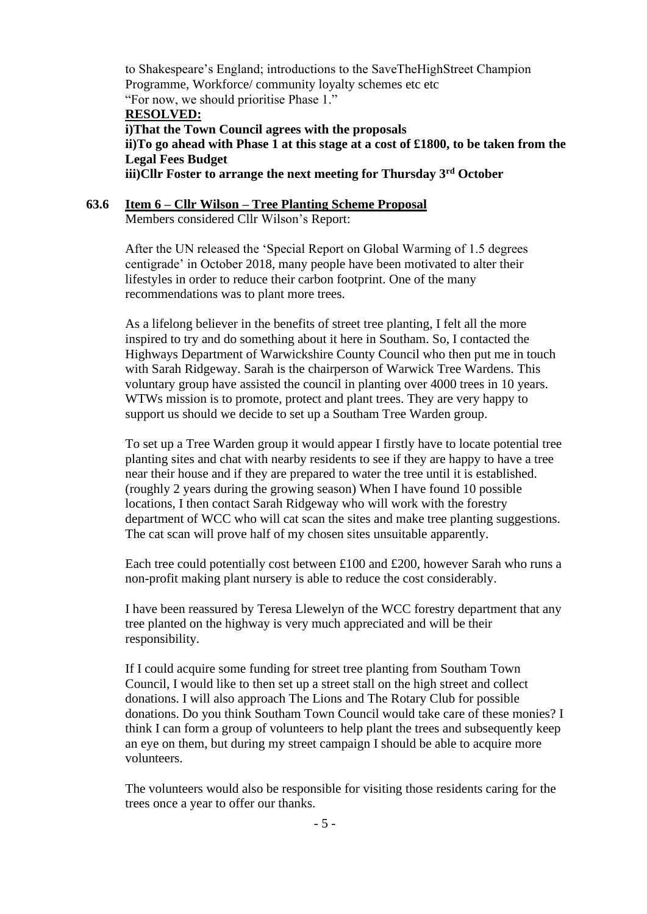to Shakespeare's England; introductions to the SaveTheHighStreet Champion Programme, Workforce/ community loyalty schemes etc etc "For now, we should prioritise Phase 1."

#### **RESOLVED:**

**i)That the Town Council agrees with the proposals ii)To go ahead with Phase 1 at this stage at a cost of £1800, to be taken from the Legal Fees Budget iii)Cllr Foster to arrange the next meeting for Thursday 3rd October** 

## **63.6 Item 6 – Cllr Wilson – Tree Planting Scheme Proposal**

Members considered Cllr Wilson's Report:

After the UN released the 'Special Report on Global Warming of 1.5 degrees centigrade' in October 2018, many people have been motivated to alter their lifestyles in order to reduce their carbon footprint. One of the many recommendations was to plant more trees.

As a lifelong believer in the benefits of street tree planting, I felt all the more inspired to try and do something about it here in Southam. So, I contacted the Highways Department of Warwickshire County Council who then put me in touch with Sarah Ridgeway. Sarah is the chairperson of Warwick Tree Wardens. This voluntary group have assisted the council in planting over 4000 trees in 10 years. WTWs mission is to promote, protect and plant trees. They are very happy to support us should we decide to set up a Southam Tree Warden group.

To set up a Tree Warden group it would appear I firstly have to locate potential tree planting sites and chat with nearby residents to see if they are happy to have a tree near their house and if they are prepared to water the tree until it is established. (roughly 2 years during the growing season) When I have found 10 possible locations, I then contact Sarah Ridgeway who will work with the forestry department of WCC who will cat scan the sites and make tree planting suggestions. The cat scan will prove half of my chosen sites unsuitable apparently.

Each tree could potentially cost between £100 and £200, however Sarah who runs a non-profit making plant nursery is able to reduce the cost considerably.

I have been reassured by Teresa Llewelyn of the WCC forestry department that any tree planted on the highway is very much appreciated and will be their responsibility.

If I could acquire some funding for street tree planting from Southam Town Council, I would like to then set up a street stall on the high street and collect donations. I will also approach The Lions and The Rotary Club for possible donations. Do you think Southam Town Council would take care of these monies? I think I can form a group of volunteers to help plant the trees and subsequently keep an eye on them, but during my street campaign I should be able to acquire more volunteers.

The volunteers would also be responsible for visiting those residents caring for the trees once a year to offer our thanks.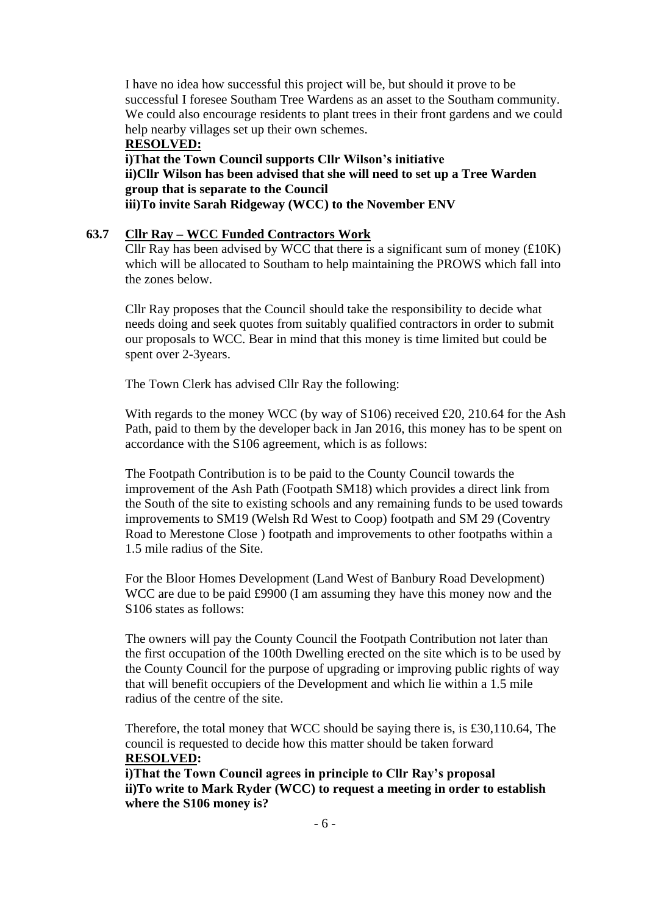I have no idea how successful this project will be, but should it prove to be successful I foresee Southam Tree Wardens as an asset to the Southam community. We could also encourage residents to plant trees in their front gardens and we could help nearby villages set up their own schemes.

**RESOLVED: i)That the Town Council supports Cllr Wilson's initiative ii)Cllr Wilson has been advised that she will need to set up a Tree Warden group that is separate to the Council iii)To invite Sarah Ridgeway (WCC) to the November ENV**

#### **63.7 Cllr Ray – WCC Funded Contractors Work**

Cllr Ray has been advised by WCC that there is a significant sum of money  $(\text{\pounds}10K)$ which will be allocated to Southam to help maintaining the PROWS which fall into the zones below.

Cllr Ray proposes that the Council should take the responsibility to decide what needs doing and seek quotes from suitably qualified contractors in order to submit our proposals to WCC. Bear in mind that this money is time limited but could be spent over 2-3years.

The Town Clerk has advised Cllr Ray the following:

With regards to the money WCC (by way of S106) received £20, 210.64 for the Ash Path, paid to them by the developer back in Jan 2016, this money has to be spent on accordance with the S106 agreement, which is as follows:

The Footpath Contribution is to be paid to the County Council towards the improvement of the Ash Path (Footpath SM18) which provides a direct link from the South of the site to existing schools and any remaining funds to be used towards improvements to SM19 (Welsh Rd West to Coop) footpath and SM 29 (Coventry Road to Merestone Close ) footpath and improvements to other footpaths within a 1.5 mile radius of the Site.

For the Bloor Homes Development (Land West of Banbury Road Development) WCC are due to be paid £9900 (I am assuming they have this money now and the S106 states as follows:

The owners will pay the County Council the Footpath Contribution not later than the first occupation of the 100th Dwelling erected on the site which is to be used by the County Council for the purpose of upgrading or improving public rights of way that will benefit occupiers of the Development and which lie within a 1.5 mile radius of the centre of the site.

Therefore, the total money that WCC should be saying there is, is £30,110.64, The council is requested to decide how this matter should be taken forward **RESOLVED:**

**i)That the Town Council agrees in principle to Cllr Ray's proposal ii)To write to Mark Ryder (WCC) to request a meeting in order to establish where the S106 money is?**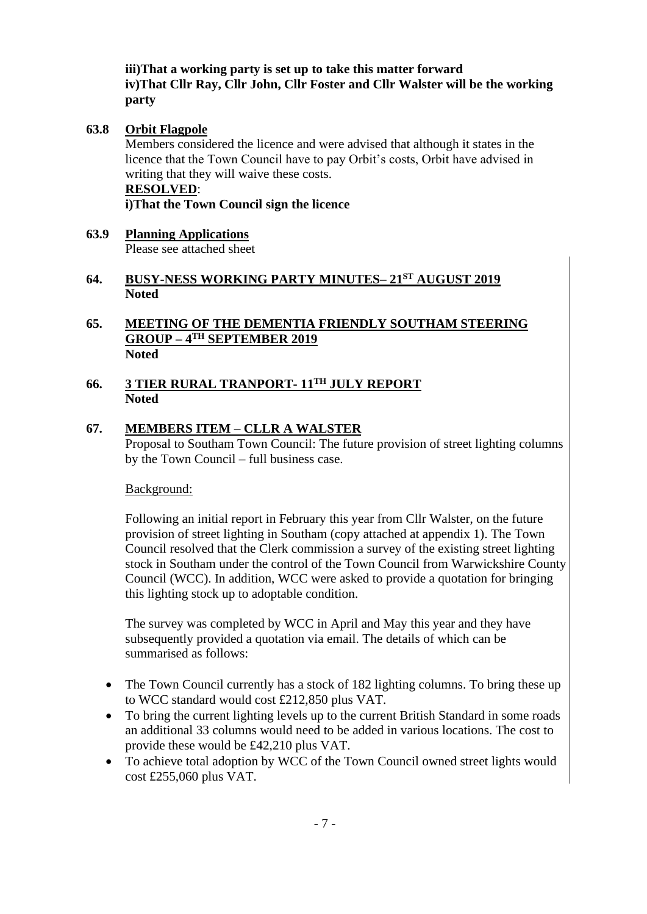**iii)That a working party is set up to take this matter forward iv)That Cllr Ray, Cllr John, Cllr Foster and Cllr Walster will be the working party**

## **63.8 Orbit Flagpole**

Members considered the licence and were advised that although it states in the licence that the Town Council have to pay Orbit's costs, Orbit have advised in writing that they will waive these costs.

#### **RESOLVED**:

**i)That the Town Council sign the licence**

**63.9 Planning Applications** Please see attached sheet

## **64. BUSY-NESS WORKING PARTY MINUTES– 21ST AUGUST 2019 Noted**

### **65. MEETING OF THE DEMENTIA FRIENDLY SOUTHAM STEERING GROUP – 4 TH SEPTEMBER 2019 Noted**

#### **66. 3 TIER RURAL TRANPORT- 11TH JULY REPORT Noted**

## **67. MEMBERS ITEM – CLLR A WALSTER**

Proposal to Southam Town Council: The future provision of street lighting columns by the Town Council – full business case.

Background:

Following an initial report in February this year from Cllr Walster, on the future provision of street lighting in Southam (copy attached at appendix 1). The Town Council resolved that the Clerk commission a survey of the existing street lighting stock in Southam under the control of the Town Council from Warwickshire County Council (WCC). In addition, WCC were asked to provide a quotation for bringing this lighting stock up to adoptable condition.

The survey was completed by WCC in April and May this year and they have subsequently provided a quotation via email. The details of which can be summarised as follows:

- The Town Council currently has a stock of 182 lighting columns. To bring these up to WCC standard would cost £212,850 plus VAT.
- To bring the current lighting levels up to the current British Standard in some roads an additional 33 columns would need to be added in various locations. The cost to provide these would be £42,210 plus VAT.
- To achieve total adoption by WCC of the Town Council owned street lights would cost £255,060 plus VAT.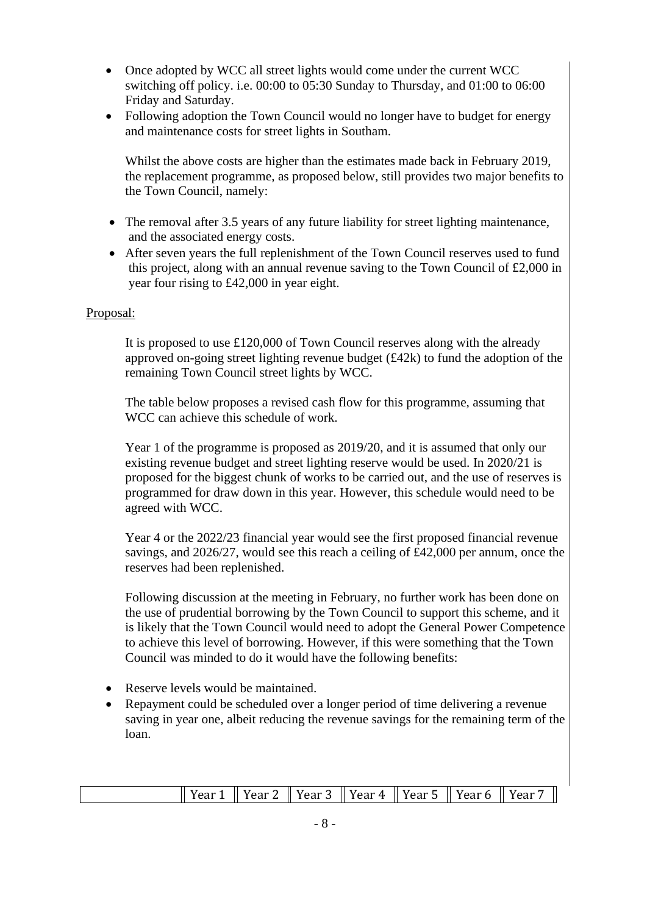- Once adopted by WCC all street lights would come under the current WCC switching off policy. i.e. 00:00 to 05:30 Sunday to Thursday, and 01:00 to 06:00 Friday and Saturday.
- Following adoption the Town Council would no longer have to budget for energy and maintenance costs for street lights in Southam.

Whilst the above costs are higher than the estimates made back in February 2019, the replacement programme, as proposed below, still provides two major benefits to the Town Council, namely:

- The removal after 3.5 years of any future liability for street lighting maintenance, and the associated energy costs.
- After seven years the full replenishment of the Town Council reserves used to fund this project, along with an annual revenue saving to the Town Council of £2,000 in year four rising to £42,000 in year eight.

### Proposal:

It is proposed to use £120,000 of Town Council reserves along with the already approved on-going street lighting revenue budget  $(f.42k)$  to fund the adoption of the remaining Town Council street lights by WCC.

The table below proposes a revised cash flow for this programme, assuming that WCC can achieve this schedule of work.

Year 1 of the programme is proposed as 2019/20, and it is assumed that only our existing revenue budget and street lighting reserve would be used. In 2020/21 is proposed for the biggest chunk of works to be carried out, and the use of reserves is programmed for draw down in this year. However, this schedule would need to be agreed with WCC.

Year 4 or the 2022/23 financial year would see the first proposed financial revenue savings, and 2026/27, would see this reach a ceiling of £42,000 per annum, once the reserves had been replenished.

Following discussion at the meeting in February, no further work has been done on the use of prudential borrowing by the Town Council to support this scheme, and it is likely that the Town Council would need to adopt the General Power Competence to achieve this level of borrowing. However, if this were something that the Town Council was minded to do it would have the following benefits:

- Reserve levels would be maintained.
- Repayment could be scheduled over a longer period of time delivering a revenue saving in year one, albeit reducing the revenue savings for the remaining term of the loan.

| $\parallel$ Year 1 $\parallel$ Year 2 $\parallel$ Year 3 $\parallel$ Year 4 $\parallel$ Year 5 $\parallel$ Year 6 $\parallel$ Year 7 $\parallel$ |  |  |  |  |  |  |  |  |
|--------------------------------------------------------------------------------------------------------------------------------------------------|--|--|--|--|--|--|--|--|
|--------------------------------------------------------------------------------------------------------------------------------------------------|--|--|--|--|--|--|--|--|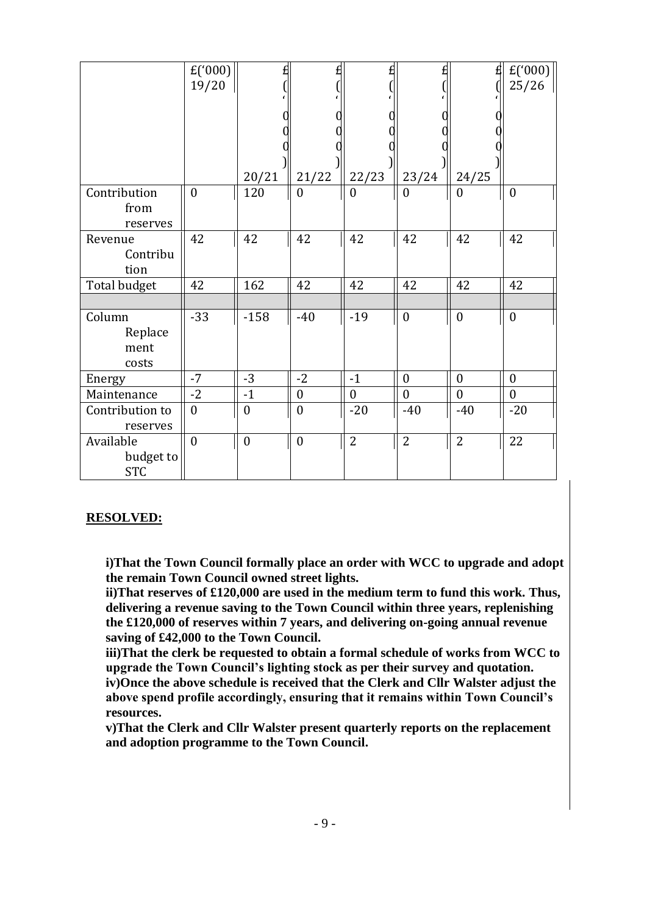|                                      | $E(^{000})$<br>19/20 | £<br>20/21       | 21/22            | 22/23            | 23/24            | £<br>24/25       | $E(^{000})$<br>25/26 |
|--------------------------------------|----------------------|------------------|------------------|------------------|------------------|------------------|----------------------|
| Contribution<br>from<br>reserves     | $\boldsymbol{0}$     | 120              | $\mathbf{0}$     | 0                | $\theta$         | $\boldsymbol{0}$ | $\boldsymbol{0}$     |
| Revenue<br>Contribu<br>tion          | 42                   | 42               | 42               | 42               | 42               | 42               | 42                   |
| Total budget                         | 42                   | 162              | 42               | 42               | 42               | 42               | 42                   |
| Column<br>Replace<br>ment<br>costs   | $-33$                | $-158$           | $-40$            | $-19$            | $\boldsymbol{0}$ | $\boldsymbol{0}$ | $\mathbf{0}$         |
| Energy                               | $-7$                 | $-3$             | $-2$             | $-1$             | $\mathbf{0}$     | $\boldsymbol{0}$ | $\overline{0}$       |
| Maintenance                          | $-2$                 | $-1$             | $\boldsymbol{0}$ | $\boldsymbol{0}$ | $\boldsymbol{0}$ | $\boldsymbol{0}$ | $\boldsymbol{0}$     |
| Contribution to<br>reserves          | $\boldsymbol{0}$     | $\boldsymbol{0}$ | $\boldsymbol{0}$ | $-20$            | $-40$            | $-40$            | $-20$                |
| Available<br>budget to<br><b>STC</b> | $\mathbf{0}$         | $\boldsymbol{0}$ | $\mathbf{0}$     | $\overline{2}$   | $\overline{2}$   | $\overline{2}$   | 22                   |

#### **RESOLVED:**

**i)That the Town Council formally place an order with WCC to upgrade and adopt the remain Town Council owned street lights.**

**ii)That reserves of £120,000 are used in the medium term to fund this work. Thus, delivering a revenue saving to the Town Council within three years, replenishing the £120,000 of reserves within 7 years, and delivering on-going annual revenue saving of £42,000 to the Town Council.**

**iii)That the clerk be requested to obtain a formal schedule of works from WCC to upgrade the Town Council's lighting stock as per their survey and quotation. iv)Once the above schedule is received that the Clerk and Cllr Walster adjust the above spend profile accordingly, ensuring that it remains within Town Council's resources.**

**v)That the Clerk and Cllr Walster present quarterly reports on the replacement and adoption programme to the Town Council.**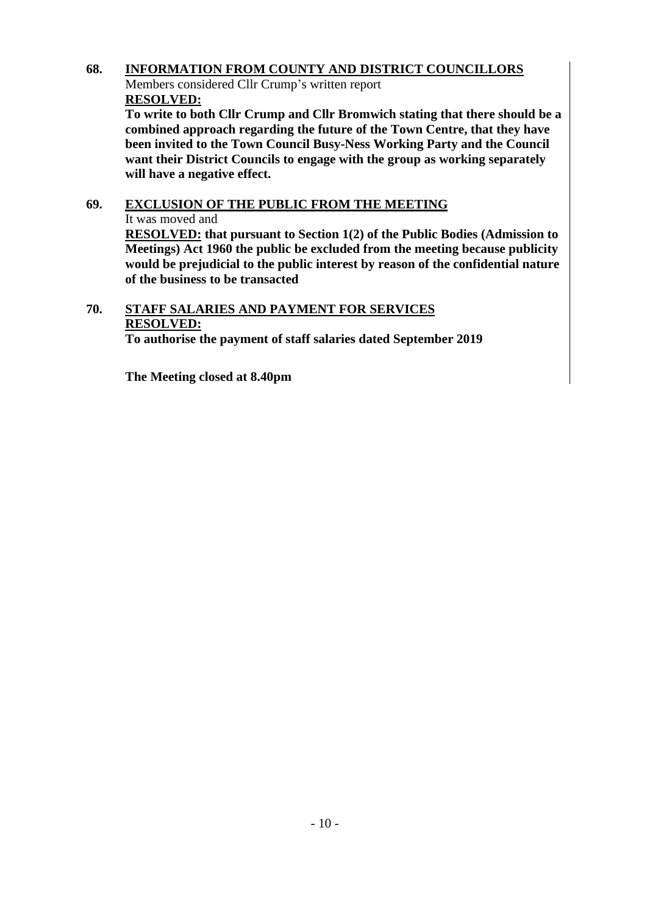# **68. INFORMATION FROM COUNTY AND DISTRICT COUNCILLORS**

Members considered Cllr Crump's written report **RESOLVED:**

**To write to both Cllr Crump and Cllr Bromwich stating that there should be a combined approach regarding the future of the Town Centre, that they have been invited to the Town Council Busy-Ness Working Party and the Council want their District Councils to engage with the group as working separately will have a negative effect.**

# **69. EXCLUSION OF THE PUBLIC FROM THE MEETING** It was moved and

**RESOLVED: that pursuant to Section 1(2) of the Public Bodies (Admission to Meetings) Act 1960 the public be excluded from the meeting because publicity would be prejudicial to the public interest by reason of the confidential nature of the business to be transacted**

# **70. STAFF SALARIES AND PAYMENT FOR SERVICES RESOLVED:**

**To authorise the payment of staff salaries dated September 2019**

**The Meeting closed at 8.40pm**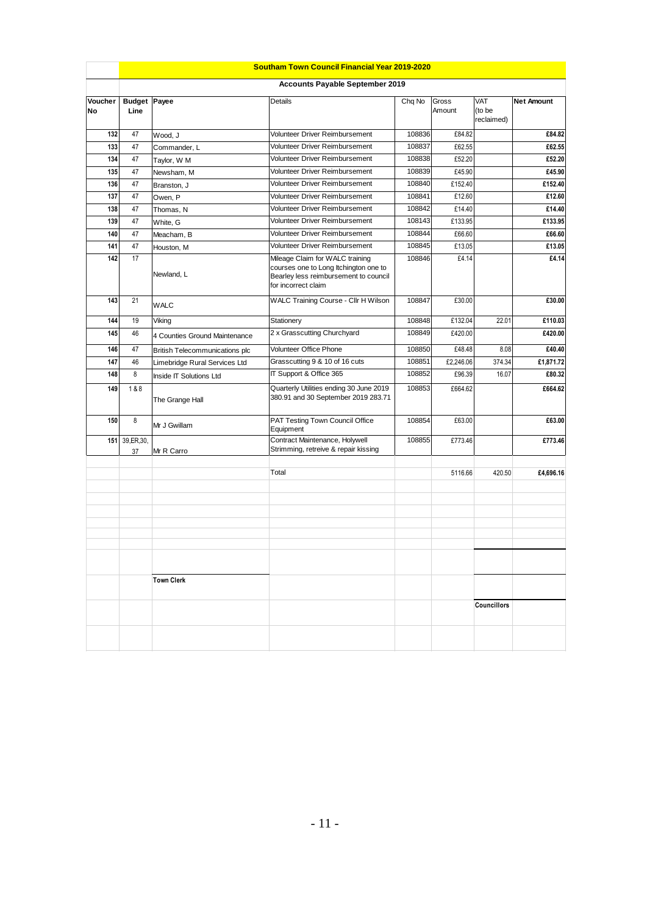|               | <b>Southam Town Council Financial Year 2019-2020</b> |                                        |                                                                                                                                          |        |                 |                             |                   |  |  |
|---------------|------------------------------------------------------|----------------------------------------|------------------------------------------------------------------------------------------------------------------------------------------|--------|-----------------|-----------------------------|-------------------|--|--|
|               |                                                      | <b>Accounts Payable September 2019</b> |                                                                                                                                          |        |                 |                             |                   |  |  |
| Voucher<br>No | <b>Budget Payee</b><br>Line                          |                                        | Details                                                                                                                                  | Chq No | Gross<br>Amount | VAT<br>(to be<br>reclaimed) | <b>Net Amount</b> |  |  |
| 132           | 47                                                   | Wood, J                                | Volunteer Driver Reimbursement                                                                                                           | 108836 | £84.82          |                             | £84.82            |  |  |
| 133           | 47                                                   | Commander, L                           | Volunteer Driver Reimbursement                                                                                                           | 108837 | £62.55          |                             | £62.55            |  |  |
| 134           | 47                                                   | Taylor, W M                            | Volunteer Driver Reimbursement                                                                                                           | 108838 | £52.20          |                             | £52.20            |  |  |
| 135           | 47                                                   | Newsham, M                             | Volunteer Driver Reimbursement                                                                                                           | 108839 | £45.90          |                             | £45.90            |  |  |
| 136           | 47                                                   | Branston, J                            | Volunteer Driver Reimbursement                                                                                                           | 108840 | £152.40         |                             | £152.40           |  |  |
| 137           | 47                                                   | Owen, P                                | Volunteer Driver Reimbursement                                                                                                           | 108841 | £12.60          |                             | £12.60            |  |  |
| 138           | 47                                                   | Thomas, N                              | Volunteer Driver Reimbursement                                                                                                           | 108842 | £14.40          |                             | £14.40            |  |  |
| 139           | 47                                                   | White, G                               | Volunteer Driver Reimbursement                                                                                                           | 108143 | £133.95         |                             | £133.95           |  |  |
| 140           | 47                                                   | Meacham, B                             | Volunteer Driver Reimbursement                                                                                                           | 108844 | £66.60          |                             | £66.60            |  |  |
| 141           | 47                                                   | Houston, M                             | Volunteer Driver Reimbursement                                                                                                           | 108845 | £13.05          |                             | £13.05            |  |  |
| 142           | 17                                                   | Newland, L                             | Mileage Claim for WALC training<br>courses one to Long Itchington one to<br>Bearley less reimbursement to council<br>for incorrect claim | 108846 | £4.14           |                             | £4.14             |  |  |
| 143           | 21                                                   | <b>WALC</b>                            | WALC Training Course - Cllr H Wilson                                                                                                     | 108847 | £30.00          |                             | £30.00            |  |  |
| 144           | 19                                                   | Viking                                 | Stationery                                                                                                                               | 108848 | £132.04         | 22.01                       | £110.03           |  |  |
| 145           | 46                                                   | 4 Counties Ground Maintenance          | 2 x Grasscutting Churchyard                                                                                                              | 108849 | £420.00         |                             | £420.00           |  |  |
| 146           | 47                                                   | <b>British Telecommunications plc</b>  | <b>Volunteer Office Phone</b>                                                                                                            | 108850 | £48.48          | 8.08                        | £40.40            |  |  |
| 147           | 46                                                   | Limebridge Rural Services Ltd          | Grasscutting 9 & 10 of 16 cuts                                                                                                           | 108851 | £2,246.06       | 374.34                      | £1,871.72         |  |  |
| 148           | 8                                                    | Inside IT Solutions Ltd                | IT Support & Office 365                                                                                                                  | 108852 | £96.39          | 16.07                       | £80.32            |  |  |
| 149           | 1&8                                                  | The Grange Hall                        | Quarterly Utilities ending 30 June 2019<br>380.91 and 30 September 2019 283.71                                                           | 108853 | £664.62         |                             | £664.62           |  |  |
| 150           | 8                                                    | Mr J Gwillam                           | PAT Testing Town Council Office<br>Equipment                                                                                             | 108854 | £63.00          |                             | £63.00            |  |  |
| 151           | 39, ER, 30,<br>37                                    | Mr R Carro                             | Contract Maintenance, Holywell<br>Strimming, retreive & repair kissing                                                                   | 108855 | £773.46         |                             | £773.46           |  |  |
|               |                                                      |                                        | Total                                                                                                                                    |        | 5116.66         | 420.50                      | £4,696.16         |  |  |
|               |                                                      |                                        |                                                                                                                                          |        |                 |                             |                   |  |  |
|               |                                                      |                                        |                                                                                                                                          |        |                 |                             |                   |  |  |
|               |                                                      |                                        |                                                                                                                                          |        |                 |                             |                   |  |  |
|               |                                                      | <b>Town Clerk</b>                      |                                                                                                                                          |        |                 |                             |                   |  |  |
|               |                                                      |                                        |                                                                                                                                          |        |                 | <b>Councillors</b>          |                   |  |  |
|               |                                                      |                                        |                                                                                                                                          |        |                 |                             |                   |  |  |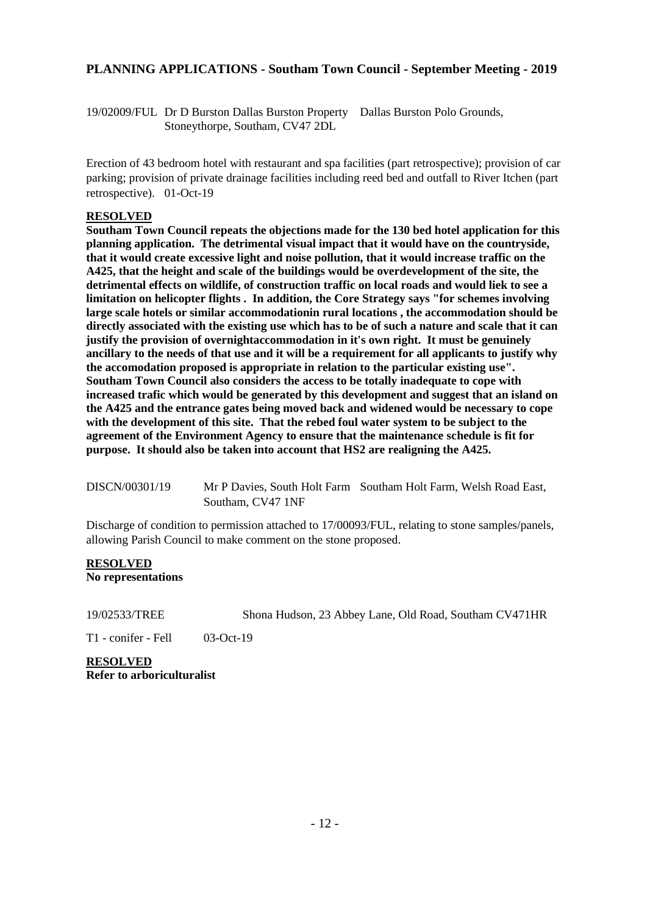## **PLANNING APPLICATIONS - Southam Town Council - September Meeting - 2019**

19/02009/FUL Dr D Burston Dallas Burston Property Dallas Burston Polo Grounds, Stoneythorpe, Southam, CV47 2DL

Erection of 43 bedroom hotel with restaurant and spa facilities (part retrospective); provision of car parking; provision of private drainage facilities including reed bed and outfall to River Itchen (part retrospective). 01-Oct-19

#### **RESOLVED**

**Southam Town Council repeats the objections made for the 130 bed hotel application for this planning application. The detrimental visual impact that it would have on the countryside, that it would create excessive light and noise pollution, that it would increase traffic on the A425, that the height and scale of the buildings would be overdevelopment of the site, the detrimental effects on wildlife, of construction traffic on local roads and would liek to see a limitation on helicopter flights . In addition, the Core Strategy says "for schemes involving large scale hotels or similar accommodationin rural locations , the accommodation should be directly associated with the existing use which has to be of such a nature and scale that it can justify the provision of overnightaccommodation in it's own right. It must be genuinely ancillary to the needs of that use and it will be a requirement for all applicants to justify why the accomodation proposed is appropriate in relation to the particular existing use". Southam Town Council also considers the access to be totally inadequate to cope with increased trafic which would be generated by this development and suggest that an island on the A425 and the entrance gates being moved back and widened would be necessary to cope with the development of this site. That the rebed foul water system to be subject to the agreement of the Environment Agency to ensure that the maintenance schedule is fit for purpose. It should also be taken into account that HS2 are realigning the A425.** 

DISCN/00301/19 Mr P Davies, South Holt Farm Southam Holt Farm, Welsh Road East, Southam, CV47 1NF

Discharge of condition to permission attached to 17/00093/FUL, relating to stone samples/panels, allowing Parish Council to make comment on the stone proposed.

#### **RESOLVED No representations**

19/02533/TREE Shona Hudson, 23 Abbey Lane, Old Road, Southam CV471HR

T1 - conifer - Fell 03-Oct-19

**RESOLVED Refer to arboriculturalist**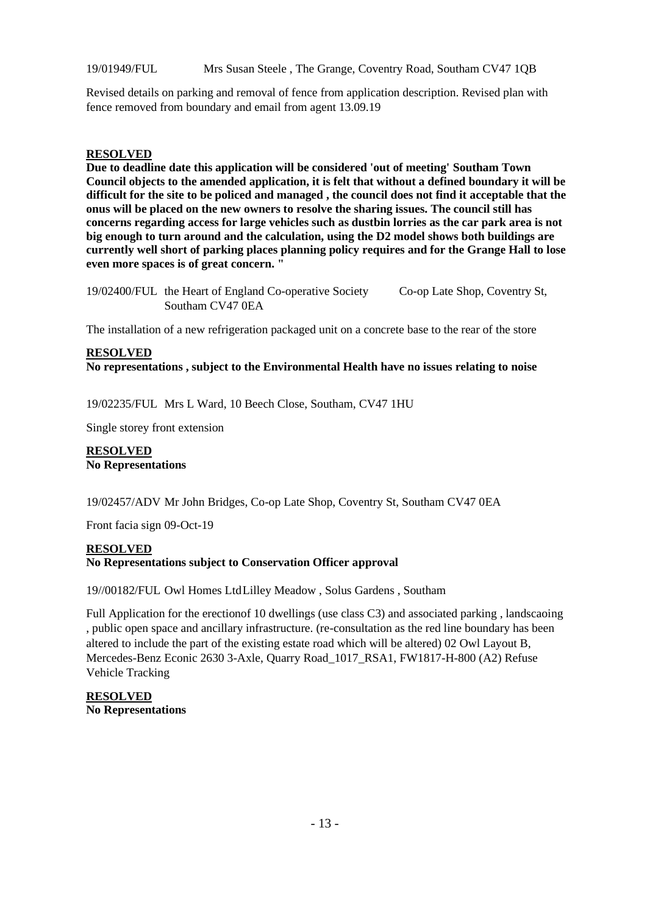19/01949/FUL Mrs Susan Steele , The Grange, Coventry Road, Southam CV47 1QB

Revised details on parking and removal of fence from application description. Revised plan with fence removed from boundary and email from agent 13.09.19

#### **RESOLVED**

**Due to deadline date this application will be considered 'out of meeting' Southam Town Council objects to the amended application, it is felt that without a defined boundary it will be difficult for the site to be policed and managed , the council does not find it acceptable that the onus will be placed on the new owners to resolve the sharing issues. The council still has concerns regarding access for large vehicles such as dustbin lorries as the car park area is not big enough to turn around and the calculation, using the D2 model shows both buildings are currently well short of parking places planning policy requires and for the Grange Hall to lose even more spaces is of great concern. "**

19/02400/FUL the Heart of England Co-operative Society Co-op Late Shop, Coventry St, Southam CV47 0EA

The installation of a new refrigeration packaged unit on a concrete base to the rear of the store

#### **RESOLVED No representations , subject to the Environmental Health have no issues relating to noise**

19/02235/FUL Mrs L Ward, 10 Beech Close, Southam, CV47 1HU

Single storey front extension

#### **RESOLVED No Representations**

19/02457/ADV Mr John Bridges, Co-op Late Shop, Coventry St, Southam CV47 0EA

Front facia sign 09-Oct-19

#### **RESOLVED No Representations subject to Conservation Officer approval**

19//00182/FUL Owl Homes LtdLilley Meadow , Solus Gardens , Southam

Full Application for the erectionof 10 dwellings (use class C3) and associated parking , landscaoing , public open space and ancillary infrastructure. (re-consultation as the red line boundary has been altered to include the part of the existing estate road which will be altered) 02 Owl Layout B, Mercedes-Benz Econic 2630 3-Axle, Quarry Road\_1017\_RSA1, FW1817-H-800 (A2) Refuse Vehicle Tracking

**RESOLVED No Representations**